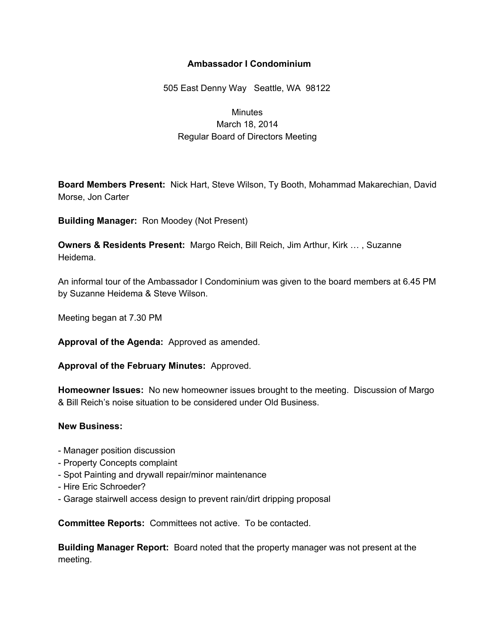## **Ambassador I Condominium**

505 East Denny Way Seattle, WA 98122

## **Minutes** March 18, 2014 Regular Board of Directors Meeting

**Board Members Present:** Nick Hart, Steve Wilson, Ty Booth, Mohammad Makarechian, David Morse, Jon Carter

**Building Manager:** Ron Moodey (Not Present)

**Owners & Residents Present:** Margo Reich, Bill Reich, Jim Arthur, Kirk … , Suzanne Heidema.

An informal tour of the Ambassador I Condominium was given to the board members at 6.45 PM by Suzanne Heidema & Steve Wilson.

Meeting began at 7.30 PM

**Approval of the Agenda:** Approved as amended.

**Approval of the February Minutes:** Approved.

**Homeowner Issues:** No new homeowner issues brought to the meeting. Discussion of Margo & Bill Reich's noise situation to be considered under Old Business.

## **New Business:**

- Manager position discussion
- Property Concepts complaint
- Spot Painting and drywall repair/minor maintenance
- Hire Eric Schroeder?
- Garage stairwell access design to prevent rain/dirt dripping proposal

**Committee Reports:** Committees not active. To be contacted.

**Building Manager Report:** Board noted that the property manager was not present at the meeting.